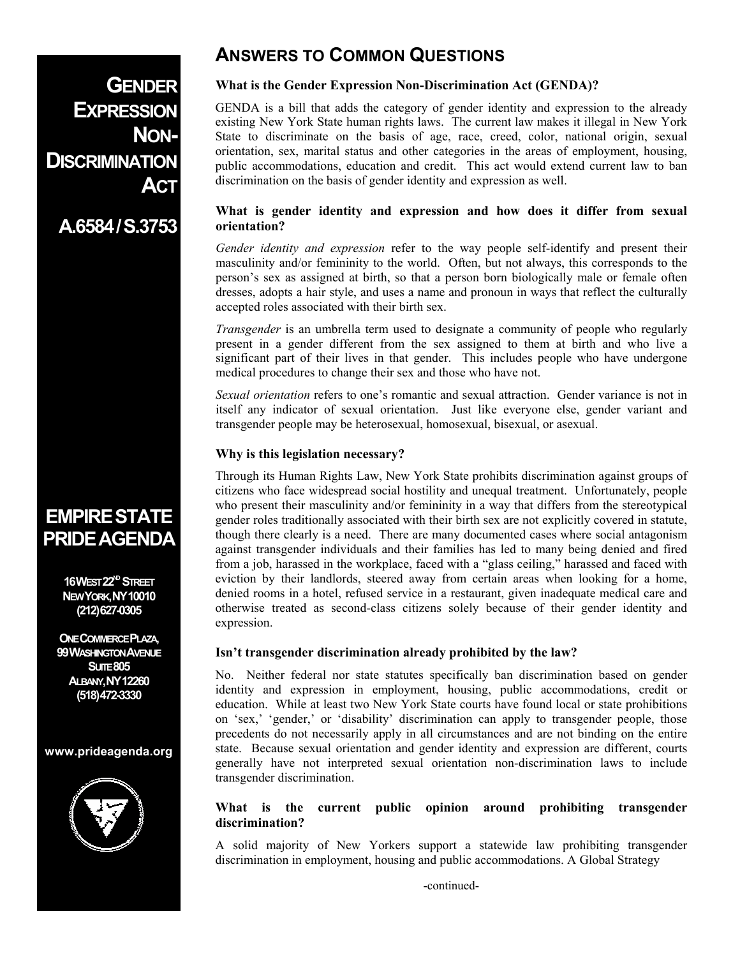# **ANSWERS TO COMMON QUESTIONS**

**GENDER EXPRESSION NON-DISCRIMINATION ACT**

# **A.6584/S.3753**

# **EMPIRESTATE PRIDEAGENDA**

**16WEST 22<sup>ND</sup> STREET NEW YORK,NY10010 (212)627-0305** 

**ONE COMMERCE PLAZA, 99WASHINGTON AVENUE SUITE 805 ALBANY,NY12260 (518)472-3330** 

#### **www.prideagenda.org**



#### **What is the Gender Expression Non-Discrimination Act (GENDA)?**

GENDA is a bill that adds the category of gender identity and expression to the already existing New York State human rights laws. The current law makes it illegal in New York State to discriminate on the basis of age, race, creed, color, national origin, sexual orientation, sex, marital status and other categories in the areas of employment, housing, public accommodations, education and credit. This act would extend current law to ban discrimination on the basis of gender identity and expression as well.

#### **What is gender identity and expression and how does it differ from sexual orientation?**

*Gender identity and expression* refer to the way people self-identify and present their masculinity and/or femininity to the world. Often, but not always, this corresponds to the person's sex as assigned at birth, so that a person born biologically male or female often dresses, adopts a hair style, and uses a name and pronoun in ways that reflect the culturally accepted roles associated with their birth sex.

*Transgender* is an umbrella term used to designate a community of people who regularly present in a gender different from the sex assigned to them at birth and who live a significant part of their lives in that gender. This includes people who have undergone medical procedures to change their sex and those who have not.

*Sexual orientation* refers to one's romantic and sexual attraction. Gender variance is not in itself any indicator of sexual orientation. Just like everyone else, gender variant and transgender people may be heterosexual, homosexual, bisexual, or asexual.

#### **Why is this legislation necessary?**

Through its Human Rights Law, New York State prohibits discrimination against groups of citizens who face widespread social hostility and unequal treatment. Unfortunately, people who present their masculinity and/or femininity in a way that differs from the stereotypical gender roles traditionally associated with their birth sex are not explicitly covered in statute, though there clearly is a need. There are many documented cases where social antagonism against transgender individuals and their families has led to many being denied and fired from a job, harassed in the workplace, faced with a "glass ceiling," harassed and faced with eviction by their landlords, steered away from certain areas when looking for a home, denied rooms in a hotel, refused service in a restaurant, given inadequate medical care and otherwise treated as second-class citizens solely because of their gender identity and expression.

# **Isn't transgender discrimination already prohibited by the law?**

No. Neither federal nor state statutes specifically ban discrimination based on gender identity and expression in employment, housing, public accommodations, credit or education. While at least two New York State courts have found local or state prohibitions on 'sex,' 'gender,' or 'disability' discrimination can apply to transgender people, those precedents do not necessarily apply in all circumstances and are not binding on the entire state. Because sexual orientation and gender identity and expression are different, courts generally have not interpreted sexual orientation non-discrimination laws to include transgender discrimination.

# **What is the current public opinion around prohibiting transgender discrimination?**

A solid majority of New Yorkers support a statewide law prohibiting transgender discrimination in employment, housing and public accommodations. A Global Strategy

-continued-